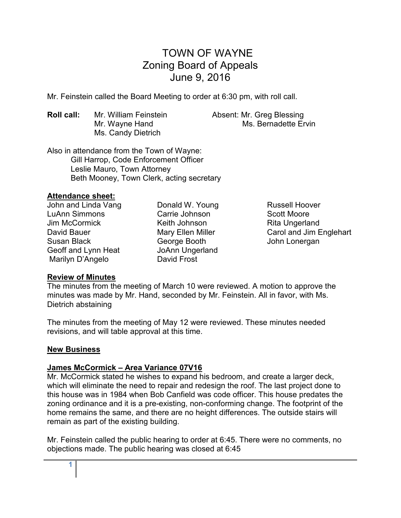# TOWN OF WAYNE Zoning Board of Appeals June 9, 2016

Mr. Feinstein called the Board Meeting to order at 6:30 pm, with roll call.

**Roll call:** Mr. William Feinstein **Absent: Mr. Greg Blessing** Ms. Candy Dietrich

Mr. Wayne Hand Ms. Bernadette Ervin

Also in attendance from the Town of Wayne: Gill Harrop, Code Enforcement Officer Leslie Mauro, Town Attorney Beth Mooney, Town Clerk, acting secretary

## **Attendance sheet:**

John and Linda Vang LuAnn Simmons Jim McCormick David Bauer Susan Black Geoff and Lynn Heat Marilyn D'Angelo

Donald W. Young Carrie Johnson Keith Johnson Mary Ellen Miller George Booth JoAnn Ungerland David Frost

Russell Hoover Scott Moore Rita Ungerland Carol and Jim Englehart John Lonergan

## **Review of Minutes**

The minutes from the meeting of March 10 were reviewed. A motion to approve the minutes was made by Mr. Hand, seconded by Mr. Feinstein. All in favor, with Ms. Dietrich abstaining

The minutes from the meeting of May 12 were reviewed. These minutes needed revisions, and will table approval at this time.

## **New Business**

## **James McCormick – Area Variance 07V16**

Mr. McCormick stated he wishes to expand his bedroom, and create a larger deck, which will eliminate the need to repair and redesign the roof. The last project done to this house was in 1984 when Bob Canfield was code officer. This house predates the zoning ordinance and it is a pre-existing, non-conforming change. The footprint of the home remains the same, and there are no height differences. The outside stairs will remain as part of the existing building.

Mr. Feinstein called the public hearing to order at 6:45. There were no comments, no objections made. The public hearing was closed at 6:45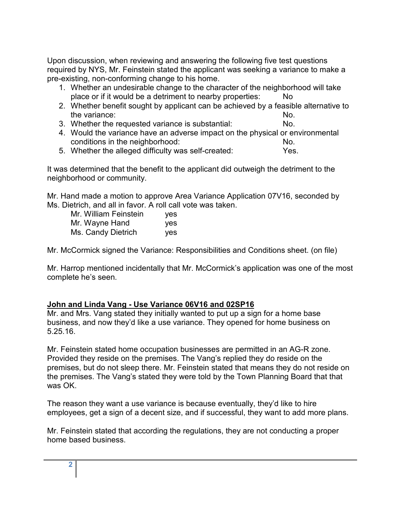Upon discussion, when reviewing and answering the following five test questions required by NYS, Mr. Feinstein stated the applicant was seeking a variance to make a pre-existing, non-conforming change to his home.

- 1. Whether an undesirable change to the character of the neighborhood will take place or if it would be a detriment to nearby properties: No
- 2. Whether benefit sought by applicant can be achieved by a feasible alternative to the variance: No.
- 3. Whether the requested variance is substantial: No.
- 4. Would the variance have an adverse impact on the physical or environmental conditions in the neighborhood: No.
- 5. Whether the alleged difficulty was self-created: Yes.

It was determined that the benefit to the applicant did outweigh the detriment to the neighborhood or community.

Mr. Hand made a motion to approve Area Variance Application 07V16, seconded by Ms. Dietrich, and all in favor. A roll call vote was taken.

| Mr. William Feinstein | yes |
|-----------------------|-----|
| Mr. Wayne Hand        | yes |
| Ms. Candy Dietrich    | ves |

Mr. McCormick signed the Variance: Responsibilities and Conditions sheet. (on file)

Mr. Harrop mentioned incidentally that Mr. McCormick's application was one of the most complete he's seen.

# **John and Linda Vang - Use Variance 06V16 and 02SP16**

Mr. and Mrs. Vang stated they initially wanted to put up a sign for a home base business, and now they'd like a use variance. They opened for home business on 5.25.16.

Mr. Feinstein stated home occupation businesses are permitted in an AG-R zone. Provided they reside on the premises. The Vang's replied they do reside on the premises, but do not sleep there. Mr. Feinstein stated that means they do not reside on the premises. The Vang's stated they were told by the Town Planning Board that that was OK.

The reason they want a use variance is because eventually, they'd like to hire employees, get a sign of a decent size, and if successful, they want to add more plans.

Mr. Feinstein stated that according the regulations, they are not conducting a proper home based business.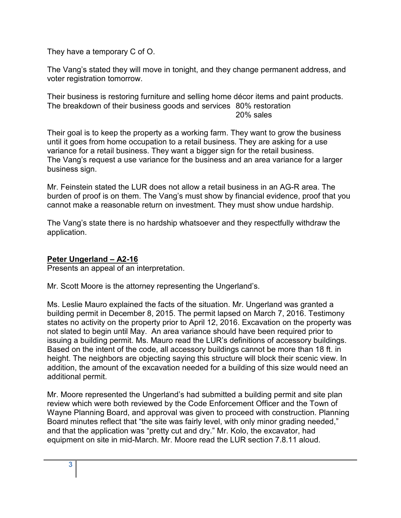They have a temporary C of O.

The Vang's stated they will move in tonight, and they change permanent address, and voter registration tomorrow.

Their business is restoring furniture and selling home décor items and paint products. The breakdown of their business goods and services 80% restoration 20% sales

Their goal is to keep the property as a working farm. They want to grow the business until it goes from home occupation to a retail business. They are asking for a use variance for a retail business. They want a bigger sign for the retail business. The Vang's request a use variance for the business and an area variance for a larger business sign.

Mr. Feinstein stated the LUR does not allow a retail business in an AG-R area. The burden of proof is on them. The Vang's must show by financial evidence, proof that you cannot make a reasonable return on investment. They must show undue hardship.

The Vang's state there is no hardship whatsoever and they respectfully withdraw the application.

# **Peter Ungerland – A2-16**

Presents an appeal of an interpretation.

Mr. Scott Moore is the attorney representing the Ungerland's.

Ms. Leslie Mauro explained the facts of the situation. Mr. Ungerland was granted a building permit in December 8, 2015. The permit lapsed on March 7, 2016. Testimony states no activity on the property prior to April 12, 2016. Excavation on the property was not slated to begin until May. An area variance should have been required prior to issuing a building permit. Ms. Mauro read the LUR's definitions of accessory buildings. Based on the intent of the code, all accessory buildings cannot be more than 18 ft. in height. The neighbors are objecting saying this structure will block their scenic view. In addition, the amount of the excavation needed for a building of this size would need an additional permit.

Mr. Moore represented the Ungerland's had submitted a building permit and site plan review which were both reviewed by the Code Enforcement Officer and the Town of Wayne Planning Board, and approval was given to proceed with construction. Planning Board minutes reflect that "the site was fairly level, with only minor grading needed," and that the application was "pretty cut and dry." Mr. Kolo, the excavator, had equipment on site in mid-March. Mr. Moore read the LUR section 7.8.11 aloud.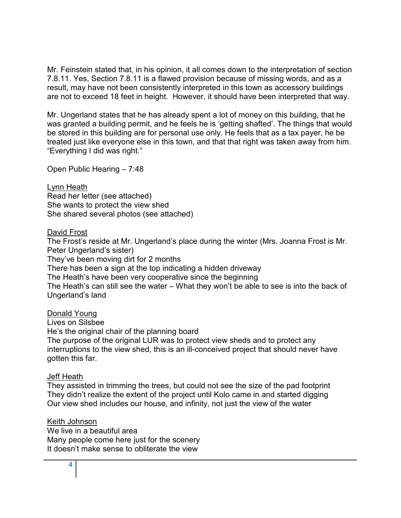Mr. Feinstein stated that, in his opinion, it all comes down to the interpretation of section 7.8.11. Yes, Section 7.8.11 is a flawed provision because of missing words, and as a result, may have not been consistently interpreted in this town as accessory buildings are not to exceed 18 feet in height. However, it should have been interpreted that way.

Mr. Ungerland states that he has already spent a lot of money on this building, that he was granted a building permit, and he feels he is 'getting shafted'. The things that would be stored in this building are for personal use only. He feels that as a tax payer, he be treated just like everyone else in this town, and that that right was taken away from him. "Everything I did was right."

Open Public Hearing – 7:48

Lynn Heath Read her letter (see attached) She wants to protect the view shed She shared several photos (see attached)

## David Frost

The Frost's reside at Mr. Ungerland's place during the winter (Mrs. Joanna Frost is Mr. Peter Ungerland's sister) They've been moving dirt for 2 months There has been a sign at the top indicating a hidden driveway The Heath's have been very cooperative since the beginning The Heath's can still see the water – What they won't be able to see is into the back of Ungerland's land

## Donald Young

Lives on Silsbee He's the original chair of the planning board The purpose of the original LUR was to protect view sheds and to protect any interruptions to the view shed, this is an ill-conceived project that should never have gotten this far.

## Jeff Heath

They assisted in trimming the trees, but could not see the size of the pad footprint They didn't realize the extent of the project until Kolo came in and started digging Our view shed includes our house, and infinity, not just the view of the water

## Keith Johnson

We live in a beautiful area Many people come here just for the scenery It doesn't make sense to obliterate the view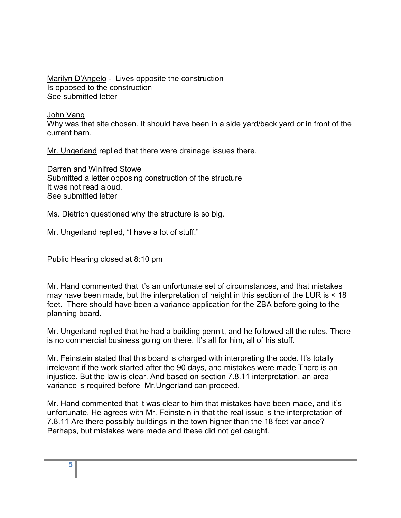Marilyn D'Angelo - Lives opposite the construction Is opposed to the construction See submitted letter

## John Vang

Why was that site chosen. It should have been in a side yard/back yard or in front of the current barn.

Mr. Ungerland replied that there were drainage issues there.

Darren and Winifred Stowe Submitted a letter opposing construction of the structure It was not read aloud. See submitted letter

Ms. Dietrich questioned why the structure is so big.

Mr. Ungerland replied, "I have a lot of stuff."

Public Hearing closed at 8:10 pm

Mr. Hand commented that it's an unfortunate set of circumstances, and that mistakes may have been made, but the interpretation of height in this section of the LUR is < 18 feet. There should have been a variance application for the ZBA before going to the planning board.

Mr. Ungerland replied that he had a building permit, and he followed all the rules. There is no commercial business going on there. It's all for him, all of his stuff.

Mr. Feinstein stated that this board is charged with interpreting the code. It's totally irrelevant if the work started after the 90 days, and mistakes were made There is an injustice. But the law is clear. And based on section 7.8.11 interpretation, an area variance is required before Mr.Ungerland can proceed.

Mr. Hand commented that it was clear to him that mistakes have been made, and it's unfortunate. He agrees with Mr. Feinstein in that the real issue is the interpretation of 7.8.11 Are there possibly buildings in the town higher than the 18 feet variance? Perhaps, but mistakes were made and these did not get caught.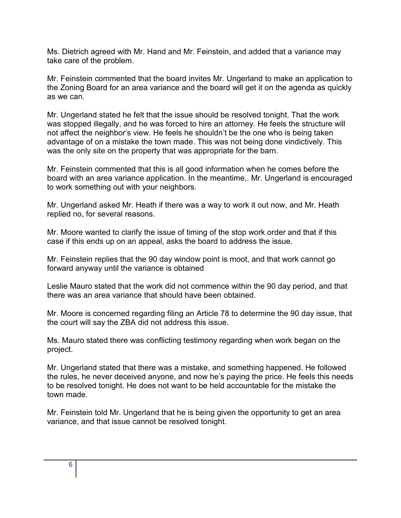Ms. Dietrich agreed with Mr. Hand and Mr. Feinstein, and added that a variance may take care of the problem.

Mr. Feinstein commented that the board invites Mr. Ungerland to make an application to the Zoning Board for an area variance and the board will get it on the agenda as quickly as we can.

Mr. Ungerland stated he felt that the issue should be resolved tonight. That the work was stopped illegally, and he was forced to hire an attorney. He feels the structure will not affect the neighbor's view. He feels he shouldn't be the one who is being taken advantage of on a mistake the town made. This was not being done vindictively. This was the only site on the property that was appropriate for the barn.

Mr. Feinstein commented that this is all good information when he comes before the board with an area variance application. In the meantime,. Mr. Ungerland is encouraged to work something out with your neighbors.

Mr. Ungerland asked Mr. Heath if there was a way to work it out now, and Mr. Heath replied no, for several reasons.

Mr. Moore wanted to clarify the issue of timing of the stop work order and that if this case if this ends up on an appeal, asks the board to address the issue.

Mr. Feinstein replies that the 90 day window point is moot, and that work cannot go forward anyway until the variance is obtained

Leslie Mauro stated that the work did not commence within the 90 day period, and that there was an area variance that should have been obtained.

Mr. Moore is concerned regarding filing an Article 78 to determine the 90 day issue, that the court will say the ZBA did not address this issue.

Ms. Mauro stated there was conflicting testimony regarding when work began on the project.

Mr. Ungerland stated that there was a mistake, and something happened. He followed the rules, he never deceived anyone, and now he's paying the price. He feels this needs to be resolved tonight. He does not want to be held accountable for the mistake the town made.

Mr. Feinstein told Mr. Ungerland that he is being given the opportunity to get an area variance, and that issue cannot be resolved tonight.